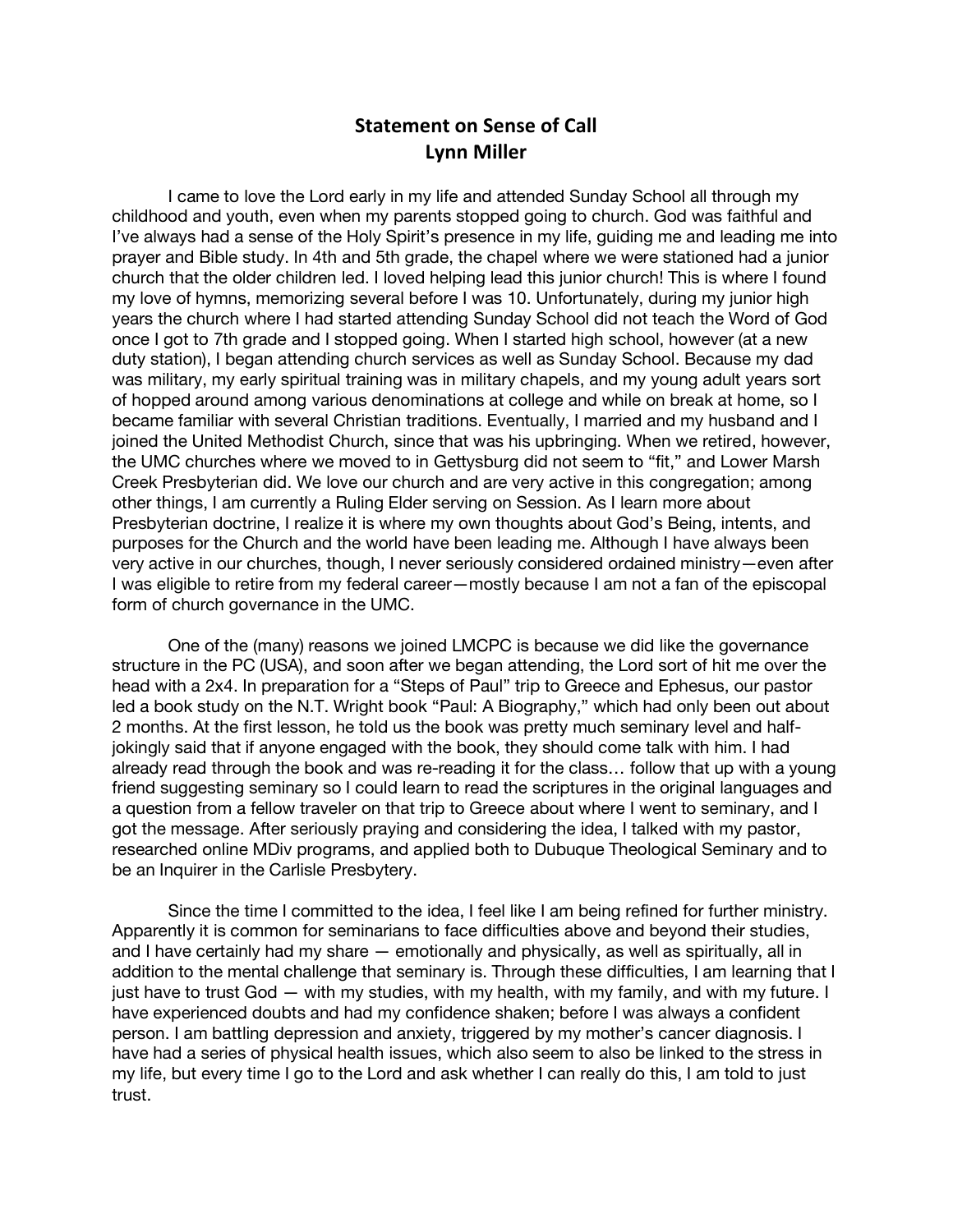## **Statement on Sense of Call Lynn Miller**

I came to love the Lord early in my life and attended Sunday School all through my childhood and youth, even when my parents stopped going to church. God was faithful and I've always had a sense of the Holy Spirit's presence in my life, guiding me and leading me into prayer and Bible study. In 4th and 5th grade, the chapel where we were stationed had a junior church that the older children led. I loved helping lead this junior church! This is where I found my love of hymns, memorizing several before I was 10. Unfortunately, during my junior high years the church where I had started attending Sunday School did not teach the Word of God once I got to 7th grade and I stopped going. When I started high school, however (at a new duty station), I began attending church services as well as Sunday School. Because my dad was military, my early spiritual training was in military chapels, and my young adult years sort of hopped around among various denominations at college and while on break at home, so I became familiar with several Christian traditions. Eventually, I married and my husband and I joined the United Methodist Church, since that was his upbringing. When we retired, however, the UMC churches where we moved to in Gettysburg did not seem to "fit," and Lower Marsh Creek Presbyterian did. We love our church and are very active in this congregation; among other things, I am currently a Ruling Elder serving on Session. As I learn more about Presbyterian doctrine, I realize it is where my own thoughts about God's Being, intents, and purposes for the Church and the world have been leading me. Although I have always been very active in our churches, though, I never seriously considered ordained ministry—even after I was eligible to retire from my federal career—mostly because I am not a fan of the episcopal form of church governance in the UMC.

One of the (many) reasons we joined LMCPC is because we did like the governance structure in the PC (USA), and soon after we began attending, the Lord sort of hit me over the head with a 2x4. In preparation for a "Steps of Paul" trip to Greece and Ephesus, our pastor led a book study on the N.T. Wright book "Paul: A Biography," which had only been out about 2 months. At the first lesson, he told us the book was pretty much seminary level and halfjokingly said that if anyone engaged with the book, they should come talk with him. I had already read through the book and was re-reading it for the class… follow that up with a young friend suggesting seminary so I could learn to read the scriptures in the original languages and a question from a fellow traveler on that trip to Greece about where I went to seminary, and I got the message. After seriously praying and considering the idea, I talked with my pastor, researched online MDiv programs, and applied both to Dubuque Theological Seminary and to be an Inquirer in the Carlisle Presbytery.

Since the time I committed to the idea, I feel like I am being refined for further ministry. Apparently it is common for seminarians to face difficulties above and beyond their studies, and I have certainly had my share — emotionally and physically, as well as spiritually, all in addition to the mental challenge that seminary is. Through these difficulties, I am learning that I just have to trust God — with my studies, with my health, with my family, and with my future. I have experienced doubts and had my confidence shaken; before I was always a confident person. I am battling depression and anxiety, triggered by my mother's cancer diagnosis. I have had a series of physical health issues, which also seem to also be linked to the stress in my life, but every time I go to the Lord and ask whether I can really do this, I am told to just trust.